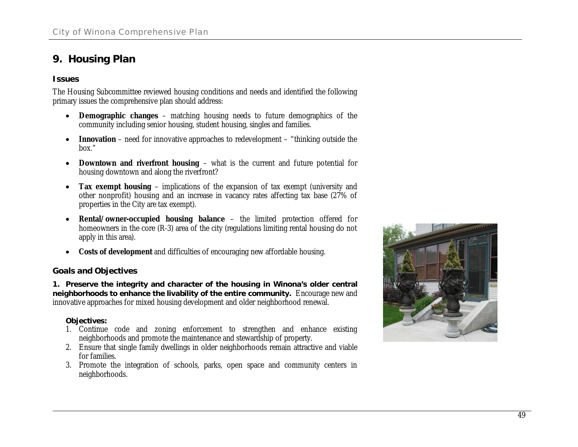## **9. Housing Plan**

## **Issues**

The Housing Subcommittee reviewed housing conditions and needs and identified the following primary issues the comprehensive plan should address:

- x **Demographic changes** matching housing needs to future demographics of the community including senior housing, student housing, singles and families.
- **•** Innovation need for innovative approaches to redevelopment "thinking outside the box."
- **•** Downtown and riverfront housing what is the current and future potential for housing downtown and along the riverfront?
- x **Tax exempt housing** implications of the expansion of tax exempt (university and other nonprofit) housing and an increase in vacancy rates affecting tax base (27% of properties in the City are tax exempt).
- x **Rental/owner-occupied housing balance** the limited protection offered for homeowners in the core (R-3) area of the city (regulations limiting rental housing do not apply in this area).
- **•** Costs of development and difficulties of encouraging new affordable housing.

## **Goals and Objectives**

**1. Preserve the integrity and character of the housing in Winona's older central neighborhoods to enhance the livability of the entire community.** Encourage new and innovative approaches for mixed housing development and older neighborhood renewal.

## **Objectives:**

- 1. Continue code and zoning enforcement to strengthen and enhance existing neighborhoods and promote the maintenance and stewardship of property.
- 2. Ensure that single family dwellings in older neighborhoods remain attractive and viable for families.
- 3. Promote the integration of schools, parks, open space and community centers in neighborhoods.

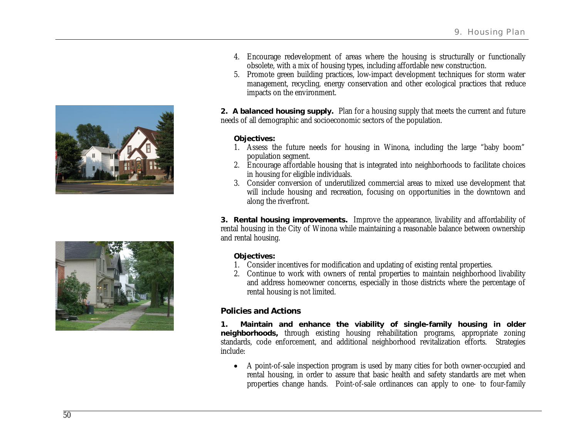



- 4. Encourage redevelopment of areas where the housing is structurally or functionally obsolete, with a mix of housing types, including affordable new construction.
- 5. Promote green building practices, low-impact development techniques for storm water management, recycling, energy conservation and other ecological practices that reduce impacts on the environment.

**2. A balanced housing supply.** Plan for a housing supply that meets the current and future needs of all demographic and socioeconomic sectors of the population.

**Objectives:**

- 1. Assess the future needs for housing in Winona, including the large "baby boom" population segment.
- 2. Encourage affordable housing that is integrated into neighborhoods to facilitate choices in housing for eligible individuals.
- 3. Consider conversion of underutilized commercial areas to mixed use development that will include housing and recreation, focusing on opportunities in the downtown and along the riverfront.

**3. Rental housing improvements.** Improve the appearance, livability and affordability of rental housing in the City of Winona while maintaining a reasonable balance between ownership and rental housing.

**Objectives:**

- 1. Consider incentives for modification and updating of existing rental properties.
- 2. Continue to work with owners of rental properties to maintain neighborhood livability and address homeowner concerns, especially in those districts where the percentage of rental housing is not limited.

**Policies and Actions**

**1. Maintain and enhance the viability of single-family housing in older neighborhoods,** through existing housing rehabilitation programs, appropriate zoning standards, code enforcement, and additional neighborhood revitalization efforts. Strategies include:

• A point-of-sale inspection program is used by many cities for both owner-occupied and rental housing, in order to assure that basic health and safety standards are met when properties change hands. Point-of-sale ordinances can apply to one- to four-family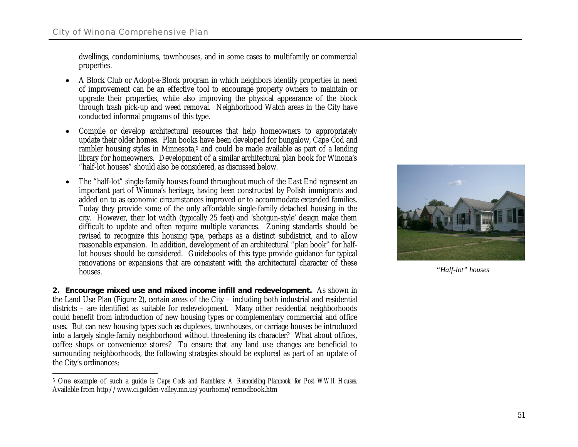dwellings, condominiums, townhouses, and in some cases to multifamily or commercial properties.

- A Block Club or Adopt-a-Block program in which neighbors identify properties in need of improvement can be an effective tool to encourage property owners to maintain or upgrade their properties, while also improving the physical appearance of the block through trash pick-up and weed removal. Neighborhood Watch areas in the City have conducted informal programs of this type.
- Compile or develop architectural resources that help homeowners to appropriately update their older homes. Plan books have been developed for bungalow, Cape Cod and rambler housing styles in Minnesota,5 and could be made available as part of a lending library for homeowners. Development of a similar architectural plan book for Winona's "half-lot houses" should also be considered, as discussed below.
- The "half-lot" single-family houses found throughout much of the East End represent an important part of Winona's heritage, having been constructed by Polish immigrants and added on to as economic circumstances improved or to accommodate extended families. Today they provide some of the only affordable single-family detached housing in the city. However, their lot width (typically 25 feet) and 'shotgun-style' design make them difficult to update and often require multiple variances. Zoning standards should be revised to recognize this housing type, perhaps as a distinct subdistrict, and to allow reasonable expansion. In addition, development of an architectural "plan book" for halflot houses should be considered. Guidebooks of this type provide guidance for typical renovations or expansions that are consistent with the architectural character of these houses.

**2. Encourage mixed use and mixed income infill and redevelopment.** As shown in the Land Use Plan (Figure 2), certain areas of the City – including both industrial and residential districts – are identified as suitable for redevelopment. Many other residential neighborhoods could benefit from introduction of new housing types or complementary commercial and office uses. But can new housing types such as duplexes, townhouses, or carriage houses be introduced into a largely single-family neighborhood without threatening its character? What about offices, coffee shops or convenience stores? To ensure that any land use changes are beneficial to surrounding neighborhoods, the following strategies should be explored as part of an update of the City's ordinances:



*"Half-lot" houses*

<sup>5</sup> One example of such a guide is *Cape Cods and Ramblers: A Remodeling Planbook for Post WWII Houses.* Available from<http://www.ci.golden-valley.mn.us/yourhome/remodbook.htm>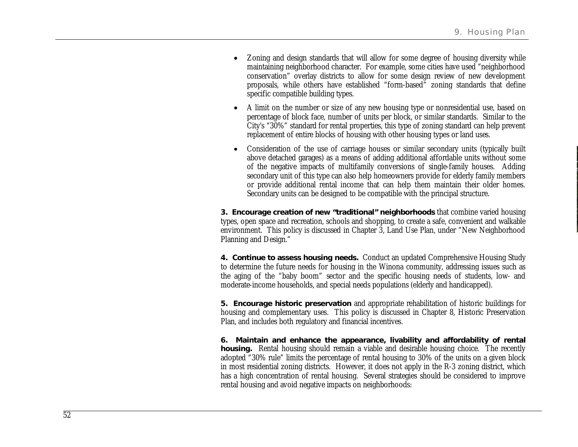- Zoning and design standards that will allow for some degree of housing diversity while maintaining neighborhood character. For example, some cities have used "neighborhood conservation" overlay districts to allow for some design review of new development proposals, while others have established "form-based" zoning standards that define specific compatible building types.
- A limit on the number or size of any new housing type or nonresidential use, based on percentage of block face, number of units per block, or similar standards. Similar to the City's "30%" standard for rental properties, this type of zoning standard can help prevent replacement of entire blocks of housing with other housing types or land uses.
- Consideration of the use of carriage houses or similar secondary units (typically built above detached garages) as a means of adding additional affordable units without some of the negative impacts of multifamily conversions of single-family houses. Adding secondary unit of this type can also help homeowners provide for elderly family members or provide additional rental income that can help them maintain their older homes. Secondary units can be designed to be compatible with the principal structure.

**3. Encourage creation of new "traditional" neighborhoods** that combine varied housing types, open space and recreation, schools and shopping, to create a safe, convenient and walkable environment. This policy is discussed in Chapter 3, Land Use Plan, under "New Neighborhood Planning and Design."

**4. Continue to assess housing needs.** Conduct an updated Comprehensive Housing Study to determine the future needs for housing in the Winona community, addressing issues such as the aging of the "baby boom" sector and the specific housing needs of students, low- and moderate-income households, and special needs populations (elderly and handicapped).

**5. Encourage historic preservation** and appropriate rehabilitation of historic buildings for housing and complementary uses. This policy is discussed in Chapter 8, Historic Preservation Plan, and includes both regulatory and financial incentives.

**6. Maintain and enhance the appearance, livability and affordability of rental housing.** Rental housing should remain a viable and desirable housing choice. The recently adopted "30% rule" limits the percentage of rental housing to 30% of the units on a given block in most residential zoning districts. However, it does not apply in the R-3 zoning district, which has a high concentration of rental housing. Several strategies should be considered to improve rental housing and avoid negative impacts on neighborhoods: